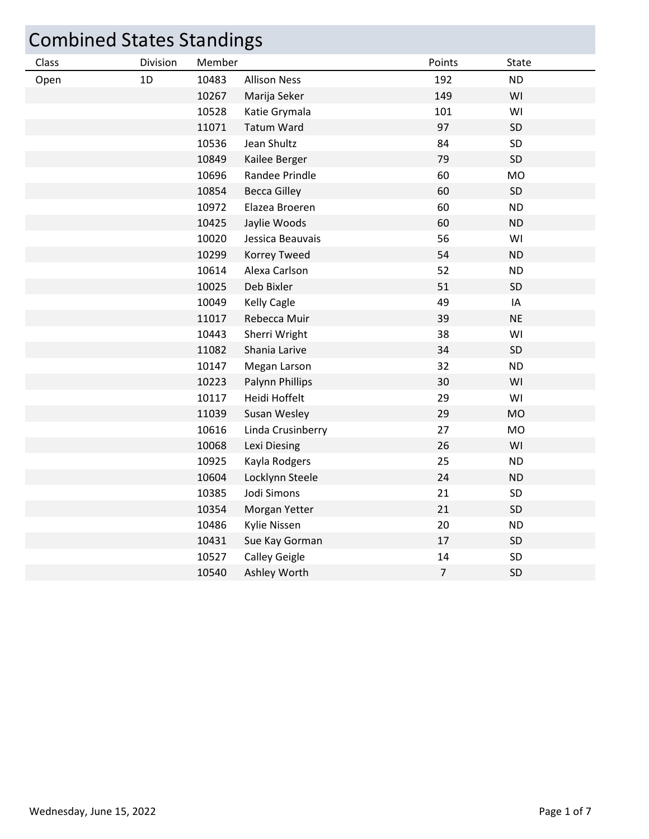| <b>Combined States Standings</b> |          |        |                      |                |           |  |
|----------------------------------|----------|--------|----------------------|----------------|-----------|--|
| Class                            | Division | Member |                      | Points         | State     |  |
| Open                             | 1D       | 10483  | <b>Allison Ness</b>  | 192            | <b>ND</b> |  |
|                                  |          | 10267  | Marija Seker         | 149            | WI        |  |
|                                  |          | 10528  | Katie Grymala        | 101            | WI        |  |
|                                  |          | 11071  | <b>Tatum Ward</b>    | 97             | SD        |  |
|                                  |          | 10536  | Jean Shultz          | 84             | SD        |  |
|                                  |          | 10849  | Kailee Berger        | 79             | SD        |  |
|                                  |          | 10696  | Randee Prindle       | 60             | <b>MO</b> |  |
|                                  |          | 10854  | <b>Becca Gilley</b>  | 60             | SD        |  |
|                                  |          | 10972  | Elazea Broeren       | 60             | <b>ND</b> |  |
|                                  |          | 10425  | Jaylie Woods         | 60             | <b>ND</b> |  |
|                                  |          | 10020  | Jessica Beauvais     | 56             | WI        |  |
|                                  |          | 10299  | Korrey Tweed         | 54             | <b>ND</b> |  |
|                                  |          | 10614  | Alexa Carlson        | 52             | <b>ND</b> |  |
|                                  |          | 10025  | Deb Bixler           | 51             | SD        |  |
|                                  |          | 10049  | <b>Kelly Cagle</b>   | 49             | IA        |  |
|                                  |          | 11017  | Rebecca Muir         | 39             | <b>NE</b> |  |
|                                  |          | 10443  | Sherri Wright        | 38             | WI        |  |
|                                  |          | 11082  | Shania Larive        | 34             | SD        |  |
|                                  |          | 10147  | Megan Larson         | 32             | <b>ND</b> |  |
|                                  |          | 10223  | Palynn Phillips      | 30             | WI        |  |
|                                  |          | 10117  | Heidi Hoffelt        | 29             | WI        |  |
|                                  |          | 11039  | Susan Wesley         | 29             | <b>MO</b> |  |
|                                  |          | 10616  | Linda Crusinberry    | 27             | <b>MO</b> |  |
|                                  |          | 10068  | Lexi Diesing         | 26             | WI        |  |
|                                  |          | 10925  | Kayla Rodgers        | 25             | <b>ND</b> |  |
|                                  |          | 10604  | Locklynn Steele      | 24             | <b>ND</b> |  |
|                                  |          | 10385  | Jodi Simons          | 21             | <b>SD</b> |  |
|                                  |          | 10354  | Morgan Yetter        | 21             | SD        |  |
|                                  |          | 10486  | Kylie Nissen         | 20             | <b>ND</b> |  |
|                                  |          | 10431  | Sue Kay Gorman       | 17             | SD        |  |
|                                  |          | 10527  | <b>Calley Geigle</b> | 14             | SD        |  |
|                                  |          | 10540  | Ashley Worth         | $\overline{7}$ | SD        |  |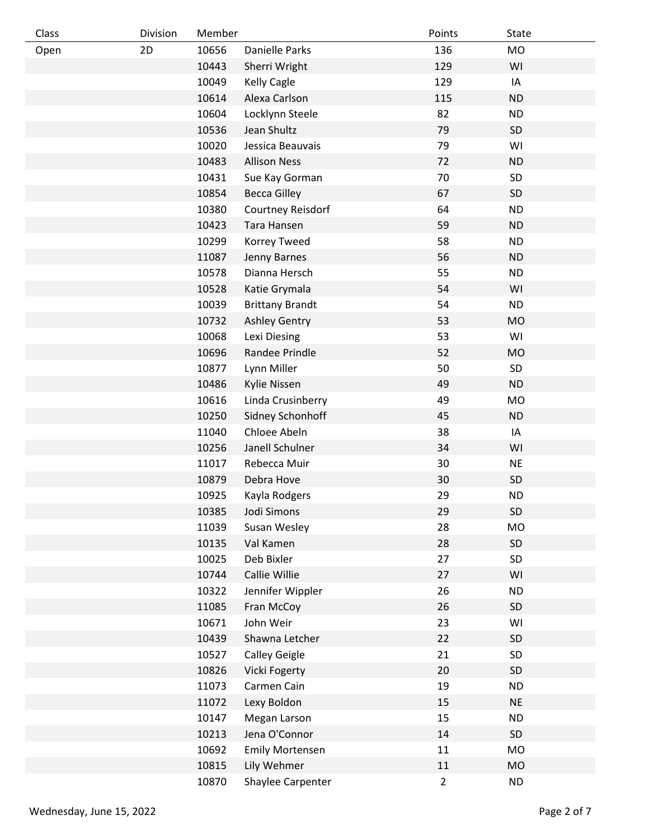| Class | Division | Member |                        | Points         | State     |
|-------|----------|--------|------------------------|----------------|-----------|
| Open  | 2D       | 10656  | <b>Danielle Parks</b>  | 136            | <b>MO</b> |
|       |          | 10443  | Sherri Wright          | 129            | WI        |
|       |          | 10049  | <b>Kelly Cagle</b>     | 129            | IA        |
|       |          | 10614  | Alexa Carlson          | 115            | <b>ND</b> |
|       |          | 10604  | Locklynn Steele        | 82             | <b>ND</b> |
|       |          | 10536  | Jean Shultz            | 79             | SD        |
|       |          | 10020  | Jessica Beauvais       | 79             | WI        |
|       |          | 10483  | <b>Allison Ness</b>    | 72             | <b>ND</b> |
|       |          | 10431  | Sue Kay Gorman         | 70             | SD        |
|       |          | 10854  | <b>Becca Gilley</b>    | 67             | SD        |
|       |          | 10380  | Courtney Reisdorf      | 64             | <b>ND</b> |
|       |          | 10423  | Tara Hansen            | 59             | <b>ND</b> |
|       |          | 10299  | Korrey Tweed           | 58             | <b>ND</b> |
|       |          | 11087  | Jenny Barnes           | 56             | <b>ND</b> |
|       |          | 10578  | Dianna Hersch          | 55             | <b>ND</b> |
|       |          | 10528  | Katie Grymala          | 54             | WI        |
|       |          | 10039  | <b>Brittany Brandt</b> | 54             | <b>ND</b> |
|       |          | 10732  | <b>Ashley Gentry</b>   | 53             | <b>MO</b> |
|       |          | 10068  | Lexi Diesing           | 53             | WI        |
|       |          | 10696  | Randee Prindle         | 52             | <b>MO</b> |
|       |          | 10877  | Lynn Miller            | 50             | SD        |
|       |          | 10486  | Kylie Nissen           | 49             | <b>ND</b> |
|       |          | 10616  | Linda Crusinberry      | 49             | <b>MO</b> |
|       |          | 10250  | Sidney Schonhoff       | 45             | ND        |
|       |          | 11040  | Chloee Abeln           | 38             | IA        |
|       |          | 10256  | Janell Schulner        | 34             | WI        |
|       |          | 11017  | Rebecca Muir           | 30             | <b>NE</b> |
|       |          | 10879  | Debra Hove             | 30             | SD        |
|       |          | 10925  | Kayla Rodgers          | 29             | <b>ND</b> |
|       |          | 10385  | Jodi Simons            | 29             | SD        |
|       |          | 11039  | Susan Wesley           | 28             | <b>MO</b> |
|       |          | 10135  | Val Kamen              | 28             | SD        |
|       |          | 10025  | Deb Bixler             | 27             | SD        |
|       |          | 10744  | Callie Willie          | 27             | WI        |
|       |          | 10322  | Jennifer Wippler       | 26             | <b>ND</b> |
|       |          | 11085  | Fran McCoy             | 26             | SD        |
|       |          | 10671  | John Weir              | 23             | WI        |
|       |          | 10439  | Shawna Letcher         | 22             | SD        |
|       |          | 10527  | <b>Calley Geigle</b>   | 21             | SD        |
|       |          | 10826  | Vicki Fogerty          | 20             | SD        |
|       |          | 11073  | Carmen Cain            | 19             | <b>ND</b> |
|       |          | 11072  | Lexy Boldon            | 15             | <b>NE</b> |
|       |          | 10147  | Megan Larson           | 15             | <b>ND</b> |
|       |          | 10213  | Jena O'Connor          | 14             | SD        |
|       |          | 10692  | <b>Emily Mortensen</b> | 11             | <b>MO</b> |
|       |          | 10815  | Lily Wehmer            | 11             | <b>MO</b> |
|       |          | 10870  | Shaylee Carpenter      | $\overline{2}$ | <b>ND</b> |
|       |          |        |                        |                |           |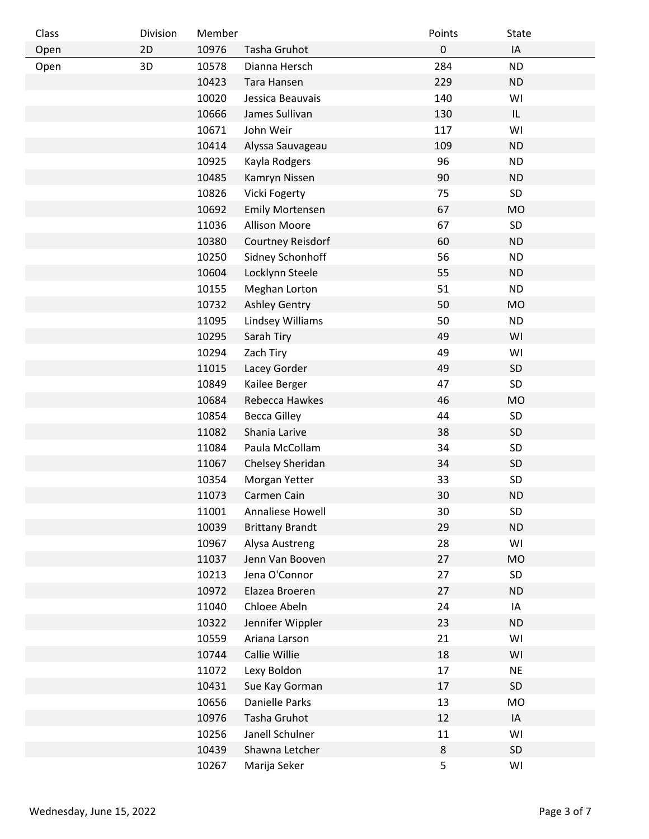| Class | Division | Member |                        | Points    | State     |
|-------|----------|--------|------------------------|-----------|-----------|
| Open  | 2D       | 10976  | Tasha Gruhot           | $\pmb{0}$ | IA        |
| Open  | 3D       | 10578  | Dianna Hersch          | 284       | <b>ND</b> |
|       |          | 10423  | Tara Hansen            | 229       | <b>ND</b> |
|       |          | 10020  | Jessica Beauvais       | 140       | WI        |
|       |          | 10666  | James Sullivan         | 130       | IL        |
|       |          | 10671  | John Weir              | 117       | WI        |
|       |          | 10414  | Alyssa Sauvageau       | 109       | <b>ND</b> |
|       |          | 10925  | Kayla Rodgers          | 96        | <b>ND</b> |
|       |          | 10485  | Kamryn Nissen          | 90        | <b>ND</b> |
|       |          | 10826  | Vicki Fogerty          | 75        | SD        |
|       |          | 10692  | <b>Emily Mortensen</b> | 67        | <b>MO</b> |
|       |          | 11036  | <b>Allison Moore</b>   | 67        | SD        |
|       |          | 10380  | Courtney Reisdorf      | 60        | <b>ND</b> |
|       |          | 10250  | Sidney Schonhoff       | 56        | <b>ND</b> |
|       |          | 10604  | Locklynn Steele        | 55        | <b>ND</b> |
|       |          | 10155  | Meghan Lorton          | 51        | <b>ND</b> |
|       |          | 10732  | <b>Ashley Gentry</b>   | 50        | <b>MO</b> |
|       |          | 11095  | Lindsey Williams       | 50        | <b>ND</b> |
|       |          | 10295  | Sarah Tiry             | 49        | WI        |
|       |          | 10294  | Zach Tiry              | 49        | WI        |
|       |          | 11015  | Lacey Gorder           | 49        | SD        |
|       |          | 10849  | Kailee Berger          | 47        | SD        |
|       |          | 10684  | Rebecca Hawkes         | 46        | <b>MO</b> |
|       |          | 10854  | <b>Becca Gilley</b>    | 44        | SD        |
|       |          | 11082  | Shania Larive          | 38        | SD        |
|       |          | 11084  | Paula McCollam         | 34        | SD        |
|       |          | 11067  | Chelsey Sheridan       | 34        | SD        |
|       |          | 10354  | Morgan Yetter          | 33        | SD        |
|       |          | 11073  | Carmen Cain            | 30        | <b>ND</b> |
|       |          | 11001  | Annaliese Howell       | 30        | SD        |
|       |          | 10039  | <b>Brittany Brandt</b> | 29        | <b>ND</b> |
|       |          | 10967  | Alysa Austreng         | 28        | WI        |
|       |          | 11037  | Jenn Van Booven        | 27        | <b>MO</b> |
|       |          | 10213  | Jena O'Connor          | 27        | SD        |
|       |          | 10972  | Elazea Broeren         | 27        | <b>ND</b> |
|       |          | 11040  | Chloee Abeln           | 24        | IA        |
|       |          | 10322  | Jennifer Wippler       | 23        | <b>ND</b> |
|       |          | 10559  | Ariana Larson          | 21        | WI        |
|       |          | 10744  | Callie Willie          | 18        | WI        |
|       |          | 11072  | Lexy Boldon            | 17        | <b>NE</b> |
|       |          | 10431  | Sue Kay Gorman         | 17        | SD        |
|       |          | 10656  | Danielle Parks         | 13        | MO        |
|       |          | 10976  | Tasha Gruhot           | 12        | IA        |
|       |          | 10256  | Janell Schulner        | 11        | WI        |
|       |          | 10439  | Shawna Letcher         | $\bf 8$   | SD        |
|       |          | 10267  | Marija Seker           | 5         | WI        |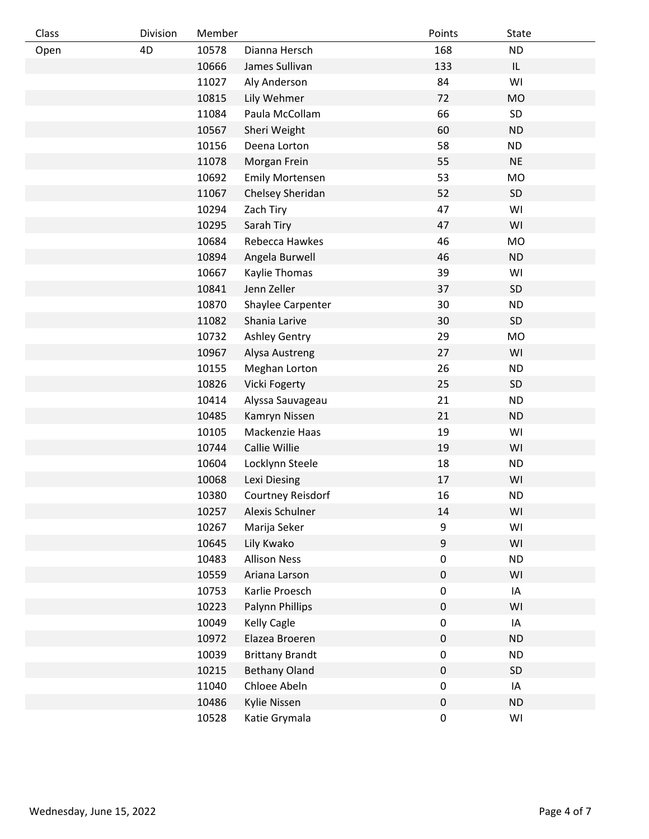| Class | Division | Member |                        | Points           | <b>State</b> |
|-------|----------|--------|------------------------|------------------|--------------|
| Open  | 4D       | 10578  | Dianna Hersch          | 168              | <b>ND</b>    |
|       |          | 10666  | James Sullivan         | 133              | IL           |
|       |          | 11027  | Aly Anderson           | 84               | WI           |
|       |          | 10815  | Lily Wehmer            | 72               | <b>MO</b>    |
|       |          | 11084  | Paula McCollam         | 66               | SD           |
|       |          | 10567  | Sheri Weight           | 60               | <b>ND</b>    |
|       |          | 10156  | Deena Lorton           | 58               | <b>ND</b>    |
|       |          | 11078  | Morgan Frein           | 55               | <b>NE</b>    |
|       |          | 10692  | <b>Emily Mortensen</b> | 53               | <b>MO</b>    |
|       |          | 11067  | Chelsey Sheridan       | 52               | SD           |
|       |          | 10294  | Zach Tiry              | 47               | WI           |
|       |          | 10295  | Sarah Tiry             | 47               | WI           |
|       |          | 10684  | Rebecca Hawkes         | 46               | <b>MO</b>    |
|       |          | 10894  | Angela Burwell         | 46               | <b>ND</b>    |
|       |          | 10667  | Kaylie Thomas          | 39               | WI           |
|       |          | 10841  | Jenn Zeller            | 37               | SD           |
|       |          | 10870  | Shaylee Carpenter      | 30               | <b>ND</b>    |
|       |          | 11082  | Shania Larive          | 30               | SD           |
|       |          | 10732  | Ashley Gentry          | 29               | <b>MO</b>    |
|       |          | 10967  | Alysa Austreng         | 27               | WI           |
|       |          | 10155  | Meghan Lorton          | 26               | <b>ND</b>    |
|       |          | 10826  | Vicki Fogerty          | 25               | SD           |
|       |          | 10414  | Alyssa Sauvageau       | 21               | <b>ND</b>    |
|       |          | 10485  | Kamryn Nissen          | 21               | <b>ND</b>    |
|       |          | 10105  | Mackenzie Haas         | 19               | WI           |
|       |          | 10744  | Callie Willie          | 19               | WI           |
|       |          | 10604  | Locklynn Steele        | 18               | <b>ND</b>    |
|       |          | 10068  | Lexi Diesing           | 17               | WI           |
|       |          | 10380  | Courtney Reisdorf      | 16               | <b>ND</b>    |
|       |          | 10257  | Alexis Schulner        | 14               | WI           |
|       |          | 10267  | Marija Seker           | 9                | WI           |
|       |          | 10645  | Lily Kwako             | $\boldsymbol{9}$ | WI           |
|       |          | 10483  | <b>Allison Ness</b>    | $\pmb{0}$        | <b>ND</b>    |
|       |          | 10559  | Ariana Larson          | $\pmb{0}$        | WI           |
|       |          | 10753  | Karlie Proesch         | $\pmb{0}$        | IA           |
|       |          | 10223  | Palynn Phillips        | $\pmb{0}$        | WI           |
|       |          | 10049  | <b>Kelly Cagle</b>     | $\pmb{0}$        | IA           |
|       |          | 10972  | Elazea Broeren         | $\pmb{0}$        | <b>ND</b>    |
|       |          | 10039  | <b>Brittany Brandt</b> | $\pmb{0}$        | <b>ND</b>    |
|       |          | 10215  | <b>Bethany Oland</b>   | $\pmb{0}$        | SD           |
|       |          | 11040  | Chloee Abeln           | $\pmb{0}$        | IA           |
|       |          | 10486  | Kylie Nissen           | $\pmb{0}$        | <b>ND</b>    |
|       |          | 10528  | Katie Grymala          | $\pmb{0}$        | WI           |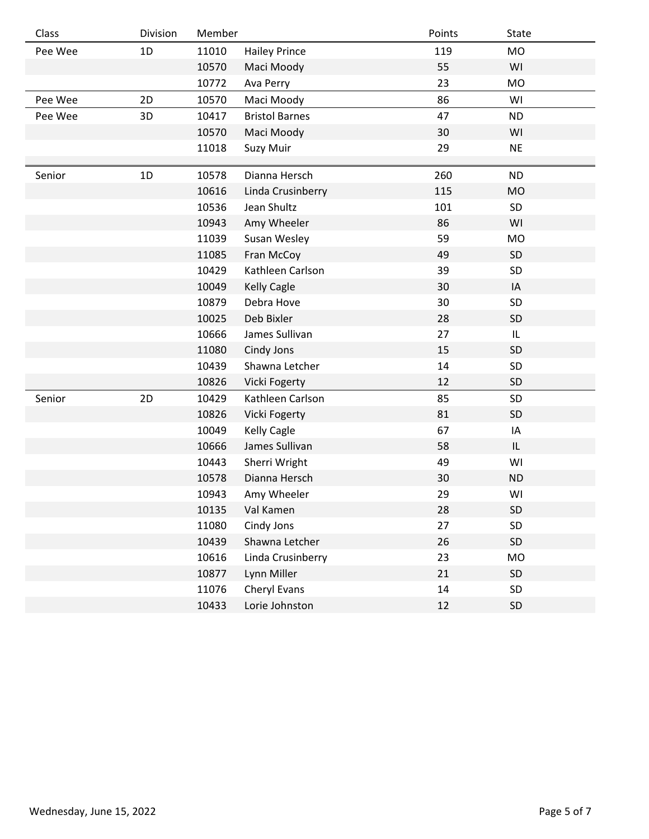| Class   | Division | Member |                       | Points | <b>State</b> |
|---------|----------|--------|-----------------------|--------|--------------|
| Pee Wee | 1D       | 11010  | <b>Hailey Prince</b>  | 119    | <b>MO</b>    |
|         |          | 10570  | Maci Moody            | 55     | WI           |
|         |          | 10772  | Ava Perry             | 23     | <b>MO</b>    |
| Pee Wee | 2D       | 10570  | Maci Moody            | 86     | WI           |
| Pee Wee | 3D       | 10417  | <b>Bristol Barnes</b> | 47     | <b>ND</b>    |
|         |          | 10570  | Maci Moody            | 30     | WI           |
|         |          | 11018  | Suzy Muir             | 29     | <b>NE</b>    |
|         |          |        |                       |        |              |
| Senior  | 1D       | 10578  | Dianna Hersch         | 260    | <b>ND</b>    |
|         |          | 10616  | Linda Crusinberry     | 115    | <b>MO</b>    |
|         |          | 10536  | Jean Shultz           | 101    | SD           |
|         |          | 10943  | Amy Wheeler           | 86     | WI           |
|         |          | 11039  | Susan Wesley          | 59     | <b>MO</b>    |
|         |          | 11085  | Fran McCoy            | 49     | SD           |
|         |          | 10429  | Kathleen Carlson      | 39     | SD           |
|         |          | 10049  | <b>Kelly Cagle</b>    | 30     | IA           |
|         |          | 10879  | Debra Hove            | 30     | SD           |
|         |          | 10025  | Deb Bixler            | 28     | SD           |
|         |          | 10666  | James Sullivan        | 27     | L            |
|         |          | 11080  | Cindy Jons            | 15     | SD           |
|         |          | 10439  | Shawna Letcher        | 14     | SD           |
|         |          | 10826  | Vicki Fogerty         | 12     | SD           |
| Senior  | 2D       | 10429  | Kathleen Carlson      | 85     | SD           |
|         |          | 10826  | <b>Vicki Fogerty</b>  | 81     | SD           |
|         |          | 10049  | <b>Kelly Cagle</b>    | 67     | IA           |
|         |          | 10666  | James Sullivan        | 58     | IL           |
|         |          | 10443  | Sherri Wright         | 49     | WI           |
|         |          | 10578  | Dianna Hersch         | 30     | <b>ND</b>    |
|         |          | 10943  | Amy Wheeler           | 29     | WI           |
|         |          | 10135  | Val Kamen             | 28     | SD           |
|         |          | 11080  | Cindy Jons            | 27     | SD           |
|         |          | 10439  | Shawna Letcher        | 26     | SD           |
|         |          | 10616  | Linda Crusinberry     | 23     | MO           |
|         |          | 10877  | Lynn Miller           | 21     | SD           |
|         |          | 11076  | Cheryl Evans          | 14     | SD           |
|         |          | 10433  | Lorie Johnston        | 12     | SD           |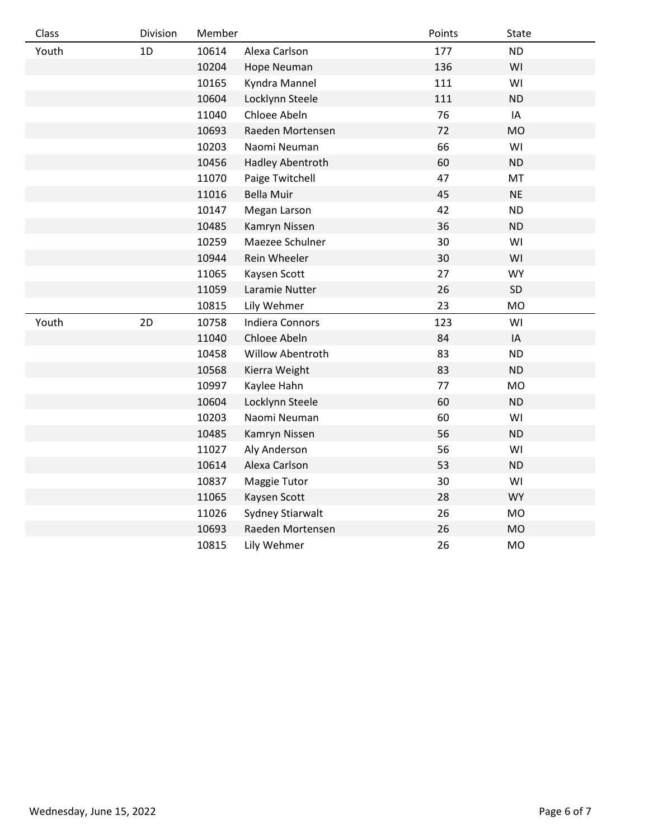| Class | Division | Member |                        | Points | State     |
|-------|----------|--------|------------------------|--------|-----------|
| Youth | 1D       | 10614  | Alexa Carlson          | 177    | <b>ND</b> |
|       |          | 10204  | Hope Neuman            | 136    | WI        |
|       |          | 10165  | Kyndra Mannel          | 111    | WI        |
|       |          | 10604  | Locklynn Steele        | 111    | <b>ND</b> |
|       |          | 11040  | Chloee Abeln           | 76     | IA        |
|       |          | 10693  | Raeden Mortensen       | 72     | <b>MO</b> |
|       |          | 10203  | Naomi Neuman           | 66     | WI        |
|       |          | 10456  | Hadley Abentroth       | 60     | <b>ND</b> |
|       |          | 11070  | Paige Twitchell        | 47     | MT        |
|       |          | 11016  | <b>Bella Muir</b>      | 45     | <b>NE</b> |
|       |          | 10147  | Megan Larson           | 42     | <b>ND</b> |
|       |          | 10485  | Kamryn Nissen          | 36     | ND        |
|       |          | 10259  | Maezee Schulner        | 30     | WI        |
|       |          | 10944  | Rein Wheeler           | 30     | WI        |
|       |          | 11065  | Kaysen Scott           | 27     | <b>WY</b> |
|       |          | 11059  | Laramie Nutter         | 26     | SD        |
|       |          | 10815  | Lily Wehmer            | 23     | <b>MO</b> |
| Youth | 2D       | 10758  | <b>Indiera Connors</b> | 123    | WI        |
|       |          | 11040  | Chloee Abeln           | 84     | IA        |
|       |          | 10458  | Willow Abentroth       | 83     | <b>ND</b> |
|       |          | 10568  | Kierra Weight          | 83     | <b>ND</b> |
|       |          | 10997  | Kaylee Hahn            | 77     | <b>MO</b> |
|       |          | 10604  | Locklynn Steele        | 60     | <b>ND</b> |
|       |          | 10203  | Naomi Neuman           | 60     | WI        |
|       |          | 10485  | Kamryn Nissen          | 56     | <b>ND</b> |
|       |          | 11027  | Aly Anderson           | 56     | WI        |
|       |          | 10614  | Alexa Carlson          | 53     | ND        |
|       |          | 10837  | Maggie Tutor           | 30     | WI        |
|       |          | 11065  | Kaysen Scott           | 28     | <b>WY</b> |
|       |          | 11026  | Sydney Stiarwalt       | 26     | <b>MO</b> |
|       |          | 10693  | Raeden Mortensen       | 26     | <b>MO</b> |
|       |          | 10815  | Lily Wehmer            | 26     | <b>MO</b> |